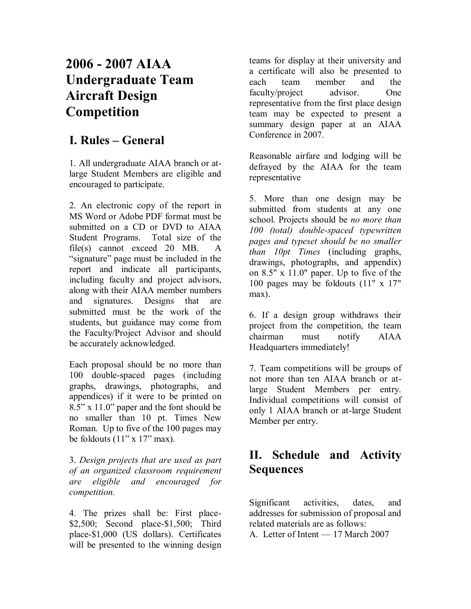# **2006 - 2007 AIAA Undergraduate Team Aircraft Design Competition**

## **I. Rules – General**

1. All undergraduate AIAA branch or atlarge Student Members are eligible and encouraged to participate.

2. An electronic copy of the report in MS Word or Adobe PDF format must be submitted on a CD or DVD to AIAA Student Programs. Total size of the file(s) cannot exceed 20 MB. A "signature" page must be included in the report and indicate all participants, including faculty and project advisors, along with their AIAA member numbers and signatures. Designs that are submitted must be the work of the students, but guidance may come from the Faculty/Project Advisor and should be accurately acknowledged.

Each proposal should be no more than 100 double-spaced pages (including graphs, drawings, photographs, and appendices) if it were to be printed on 8.5" x 11.0" paper and the font should be no smaller than 10 pt. Times New Roman. Up to five of the 100 pages may be foldouts  $(11$ " x  $17$ " max).

3. *Design projects that are used as part of an organized classroom requirement are eligible and encouraged for competition.*

4. The prizes shall be: First place- \$2,500; Second place-\$1,500; Third place-\$1,000 (US dollars). Certificates will be presented to the winning design

teams for display at their university and a certificate will also be presented to each team member and the faculty/project advisor. One representative from the first place design team may be expected to present a summary design paper at an AIAA Conference in 2007.

Reasonable airfare and lodging will be defrayed by the AIAA for the team representative

5. More than one design may be submitted from students at any one school. Projects should be *no more than 100 (total) double-spaced typewritten pages and typeset should be no smaller than 10pt Times* (including graphs, drawings, photographs, and appendix) on 8.5" x 11.0" paper. Up to five of the 100 pages may be foldouts (11" x 17" max).

6. If a design group withdraws their project from the competition, the team chairman must notify AIAA Headquarters immediately!

7. Team competitions will be groups of not more than ten AIAA branch or atlarge Student Members per entry. Individual competitions will consist of only 1 AIAA branch or at-large Student Member per entry.

## **II. Schedule and Activity Sequences**

Significant activities, dates, and addresses for submission of proposal and related materials are as follows:

A. Letter of Intent — 17 March 2007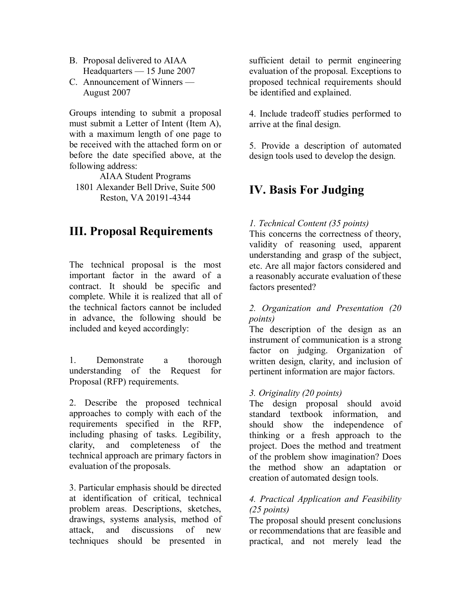- B. Proposal delivered to AIAA Headquarters — 15 June 2007
- C. Announcement of Winners August 2007

Groups intending to submit a proposal must submit a Letter of Intent (Item A), with a maximum length of one page to be received with the attached form on or before the date specified above, at the following address:

AIAA Student Programs 1801 Alexander Bell Drive, Suite 500 Reston, VA 20191-4344

## **III. Proposal Requirements**

The technical proposal is the most important factor in the award of a contract. It should be specific and complete. While it is realized that all of the technical factors cannot be included in advance, the following should be included and keyed accordingly:

1. Demonstrate a thorough understanding of the Request for Proposal (RFP) requirements.

2. Describe the proposed technical approaches to comply with each of the requirements specified in the RFP, including phasing of tasks. Legibility, clarity, and completeness of the technical approach are primary factors in evaluation of the proposals.

3. Particular emphasis should be directed at identification of critical, technical problem areas. Descriptions, sketches, drawings, systems analysis, method of attack, and discussions of new techniques should be presented in

sufficient detail to permit engineering evaluation of the proposal. Exceptions to proposed technical requirements should be identified and explained.

4. Include tradeoff studies performed to arrive at the final design.

5. Provide a description of automated design tools used to develop the design.

## **IV. Basis For Judging**

## *1. Technical Content (35 points)*

This concerns the correctness of theory, validity of reasoning used, apparent understanding and grasp of the subject, etc. Are all major factors considered and a reasonably accurate evaluation of these factors presented?

## *2. Organization and Presentation (20 points)*

The description of the design as an instrument of communication is a strong factor on judging. Organization of written design, clarity, and inclusion of pertinent information are major factors.

## *3. Originality (20 points)*

The design proposal should avoid standard textbook information, and should show the independence of thinking or a fresh approach to the project. Does the method and treatment of the problem show imagination? Does the method show an adaptation or creation of automated design tools.

## *4. Practical Application and Feasibility (25 points)*

The proposal should present conclusions or recommendations that are feasible and practical, and not merely lead the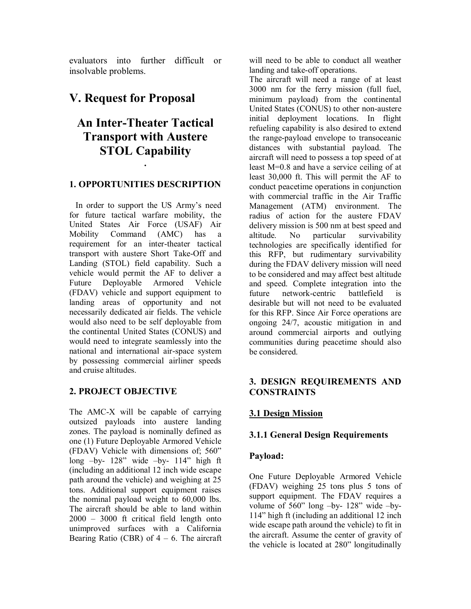evaluators into further difficult or insolvable problems.

## **V. Request for Proposal**

## **An Inter-Theater Tactical Transport with Austere STOL Capability**

## **1. OPPORTUNITIES DESCRIPTION**

**.**

 In order to support the US Army's need for future tactical warfare mobility, the United States Air Force (USAF) Air Mobility Command (AMC) has a requirement for an inter-theater tactical transport with austere Short Take-Off and Landing (STOL) field capability. Such a vehicle would permit the AF to deliver a Future Deployable Armored Vehicle (FDAV) vehicle and support equipment to landing areas of opportunity and not necessarily dedicated air fields. The vehicle would also need to be self deployable from the continental United States (CONUS) and would need to integrate seamlessly into the national and international air-space system by possessing commercial airliner speeds and cruise altitudes.

## **2. PROJECT OBJECTIVE**

The AMC-X will be capable of carrying outsized payloads into austere landing zones. The payload is nominally defined as one (1) Future Deployable Armored Vehicle (FDAV) Vehicle with dimensions of; 560" long –by- 128" wide –by- 114" high ft (including an additional 12 inch wide escape path around the vehicle) and weighing at 25 tons. Additional support equipment raises the nominal payload weight to 60,000 lbs. The aircraft should be able to land within 2000 – 3000 ft critical field length onto unimproved surfaces with a California Bearing Ratio (CBR) of  $4 - 6$ . The aircraft will need to be able to conduct all weather landing and take-off operations.

The aircraft will need a range of at least 3000 nm for the ferry mission (full fuel, minimum payload) from the continental United States (CONUS) to other non-austere initial deployment locations. In flight refueling capability is also desired to extend the range-payload envelope to transoceanic distances with substantial payload. The aircraft will need to possess a top speed of at least M=0.8 and have a service ceiling of at least 30,000 ft. This will permit the AF to conduct peacetime operations in conjunction with commercial traffic in the Air Traffic Management (ATM) environment. The radius of action for the austere FDAV delivery mission is 500 nm at best speed and altitude. No particular survivability technologies are specifically identified for this RFP, but rudimentary survivability during the FDAV delivery mission will need to be considered and may affect best altitude and speed. Complete integration into the future network-centric battlefield is desirable but will not need to be evaluated for this RFP. Since Air Force operations are ongoing 24/7, acoustic mitigation in and around commercial airports and outlying communities during peacetime should also be considered.

## **3. DESIGN REQUIREMENTS AND CONSTRAINTS**

## **3.1 Design Mission**

## **3.1.1 General Design Requirements**

## **Payload:**

One Future Deployable Armored Vehicle (FDAV) weighing 25 tons plus 5 tons of support equipment. The FDAV requires a volume of 560" long –by- 128" wide –by-114" high ft (including an additional 12 inch wide escape path around the vehicle) to fit in the aircraft. Assume the center of gravity of the vehicle is located at 280" longitudinally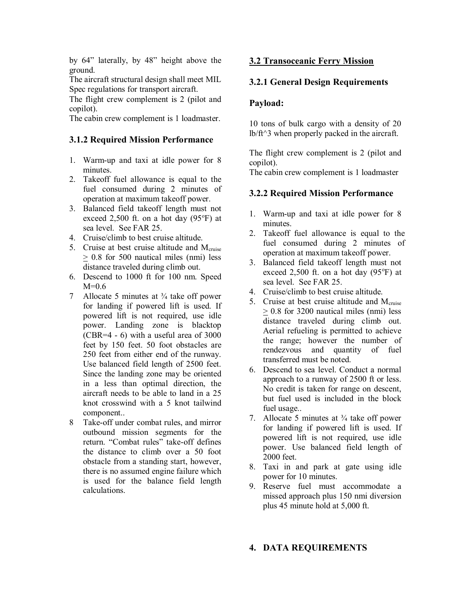by 64" laterally, by 48" height above the ground.

The aircraft structural design shall meet MIL Spec regulations for transport aircraft.

The flight crew complement is 2 (pilot and copilot).

The cabin crew complement is 1 loadmaster.

## **3.1.2 Required Mission Performance**

- 1. Warm-up and taxi at idle power for 8 minutes.
- 2. Takeoff fuel allowance is equal to the fuel consumed during 2 minutes of operation at maximum takeoff power.
- 3. Balanced field takeoff length must not exceed 2,500 ft. on a hot day  $(95^{\circ}F)$  at sea level. See FAR 25.
- 4. Cruise/climb to best cruise altitude.
- 5. Cruise at best cruise altitude and M<sub>cruise</sub> > 0.8 for 500 nautical miles (nmi) less distance traveled during climb out.
- 6. Descend to 1000 ft for 100 nm. Speed  $M=0.6$
- 7 Allocate 5 minutes at  $\frac{3}{4}$  take off power for landing if powered lift is used. If powered lift is not required, use idle power. Landing zone is blacktop (CBR=4 - 6) with a useful area of 3000 feet by 150 feet. 50 foot obstacles are 250 feet from either end of the runway. Use balanced field length of 2500 feet. Since the landing zone may be oriented in a less than optimal direction, the aircraft needs to be able to land in a 25 knot crosswind with a 5 knot tailwind component..
- 8 Take-off under combat rules, and mirror outbound mission segments for the return. "Combat rules" take-off defines the distance to climb over a 50 foot obstacle from a standing start, however, there is no assumed engine failure which is used for the balance field length calculations.

### **3.2 Transoceanic Ferry Mission**

### **3.2.1 General Design Requirements**

#### **Payload:**

10 tons of bulk cargo with a density of 20 lb/ft^3 when properly packed in the aircraft.

The flight crew complement is 2 (pilot and copilot).

The cabin crew complement is 1 loadmaster

### **3.2.2 Required Mission Performance**

- 1. Warm-up and taxi at idle power for 8 minutes.
- 2. Takeoff fuel allowance is equal to the fuel consumed during 2 minutes of operation at maximum takeoff power.
- 3. Balanced field takeoff length must not exceed 2,500 ft. on a hot day  $(95^{\circ}F)$  at sea level. See FAR 25.
- 4. Cruise/climb to best cruise altitude.
- 5. Cruise at best cruise altitude and  $M<sub>cnoise</sub>$ > 0.8 for 3200 nautical miles (nmi) less distance traveled during climb out. Aerial refueling is permitted to achieve the range; however the number of rendezvous and quantity of fuel transferred must be noted.
- 6. Descend to sea level. Conduct a normal approach to a runway of 2500 ft or less. No credit is taken for range on descent, but fuel used is included in the block fuel usage..
- 7. Allocate 5 minutes at  $\frac{3}{4}$  take off power for landing if powered lift is used. If powered lift is not required, use idle power. Use balanced field length of 2000 feet.
- 8. Taxi in and park at gate using idle power for 10 minutes.
- 9. Reserve fuel must accommodate a missed approach plus 150 nmi diversion plus 45 minute hold at 5,000 ft.

### **4. DATA REQUIREMENTS**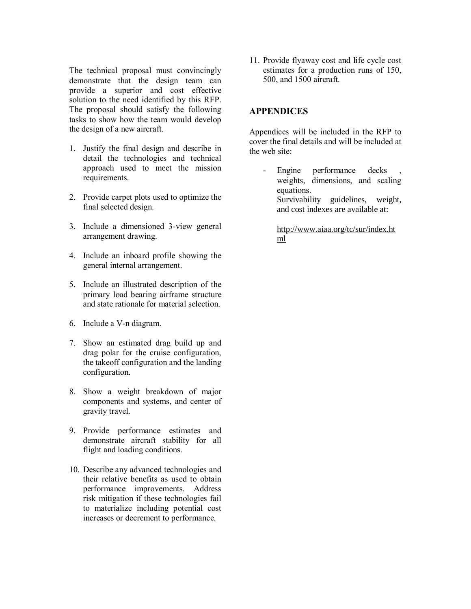The technical proposal must convincingly demonstrate that the design team can provide a superior and cost effective solution to the need identified by this RFP. The proposal should satisfy the following tasks to show how the team would develop the design of a new aircraft.

- 1. Justify the final design and describe in detail the technologies and technical approach used to meet the mission requirements.
- 2. Provide carpet plots used to optimize the final selected design.
- 3. Include a dimensioned 3-view general arrangement drawing.
- 4. Include an inboard profile showing the general internal arrangement.
- 5. Include an illustrated description of the primary load bearing airframe structure and state rationale for material selection.
- 6. Include a V-n diagram.
- 7. Show an estimated drag build up and drag polar for the cruise configuration, the takeoff configuration and the landing configuration.
- 8. Show a weight breakdown of major components and systems, and center of gravity travel.
- 9. Provide performance estimates and demonstrate aircraft stability for all flight and loading conditions.
- 10. Describe any advanced technologies and their relative benefits as used to obtain performance improvements. Address risk mitigation if these technologies fail to materialize including potential cost increases or decrement to performance.

11. Provide flyaway cost and life cycle cost estimates for a production runs of 150, 500, and 1500 aircraft.

#### **APPENDICES**

Appendices will be included in the RFP to cover the final details and will be included at the web site:

Engine performance decks weights, dimensions, and scaling equations. Survivability guidelines, weight, and cost indexes are available at:

[http://www.aiaa.org/tc/sur/index.ht](http://www.aiaa.org/tc/sur/index.html) [ml](http://www.aiaa.org/tc/sur/index.html)